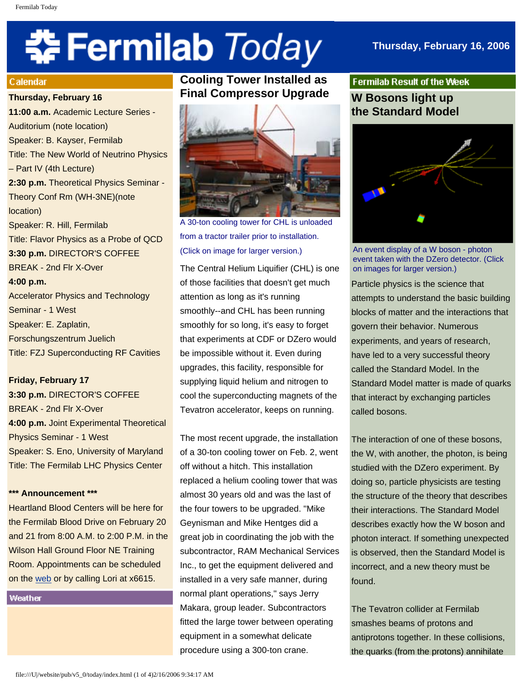# **‡⊱Fermilab** *Today*

## **Thursday, February 16, 2006**

#### **Calendar**

**Thursday, February 16**

**11:00 a.m.** Academic Lecture Series - Auditorium (note location) Speaker: B. Kayser, Fermilab Title: The New World of Neutrino Physics – Part IV (4th Lecture) **2:30 p.m.** Theoretical Physics Seminar - Theory Conf Rm (WH-3NE)(note location) Speaker: R. Hill, Fermilab Title: Flavor Physics as a Probe of QCD **3:30 p.m.** DIRECTOR'S COFFEE BREAK - 2nd Flr X-Over **4:00 p.m.** Accelerator Physics and Technology Seminar - 1 West Speaker: E. Zaplatin, Forschungszentrum Juelich Title: FZJ Superconducting RF Cavities

**Friday, February 17 3:30 p.m.** DIRECTOR'S COFFEE BREAK - 2nd Flr X-Over **4:00 p.m.** Joint Experimental Theoretical Physics Seminar - 1 West Speaker: S. Eno, University of Maryland

Title: The Fermilab LHC Physics Center

#### **\*\*\* Announcement \*\*\***

Heartland Blood Centers will be here for the Fermilab Blood Drive on February 20 and 21 from 8:00 A.M. to 2:00 P.M. in the Wilson Hall Ground Floor NE Training Room. Appointments can be scheduled on the [web](http://www-esh.fnal.gov/) or by calling Lori at x6615.

Weather

# **Cooling Tower Installed as Final Compressor Upgrade**



A 30-ton cooling tower for CHL is unloaded from a tractor trailer prior to installation. (Click on image for larger version.)

The Central Helium Liquifier (CHL) is one of those facilities that doesn't get much attention as long as it's running smoothly--and CHL has been running smoothly for so long, it's easy to forget that experiments at CDF or DZero would be impossible without it. Even during upgrades, this facility, responsible for supplying liquid helium and nitrogen to cool the superconducting magnets of the Tevatron accelerator, keeps on running.

The most recent upgrade, the installation of a 30-ton cooling tower on Feb. 2, went off without a hitch. This installation replaced a helium cooling tower that was almost 30 years old and was the last of the four towers to be upgraded. "Mike Geynisman and Mike Hentges did a great job in coordinating the job with the subcontractor, RAM Mechanical Services Inc., to get the equipment delivered and installed in a very safe manner, during normal plant operations," says Jerry Makara, group leader. Subcontractors fitted the large tower between operating equipment in a somewhat delicate procedure using a 300-ton crane.

**Fermilab Result of the Week W Bosons light up the Standard Model** 



An event display of a W boson - photon event taken with the DZero detector. (Click on images for larger version.)

Particle physics is the science that attempts to understand the basic building blocks of matter and the interactions that govern their behavior. Numerous experiments, and years of research, have led to a very successful theory called the Standard Model. In the Standard Model matter is made of quarks that interact by exchanging particles called bosons.

The interaction of one of these bosons, the W, with another, the photon, is being studied with the DZero experiment. By doing so, particle physicists are testing the structure of the theory that describes their interactions. The Standard Model describes exactly how the W boson and photon interact. If something unexpected is observed, then the Standard Model is incorrect, and a new theory must be found.

The Tevatron collider at Fermilab smashes beams of protons and antiprotons together. In these collisions, the quarks (from the protons) annihilate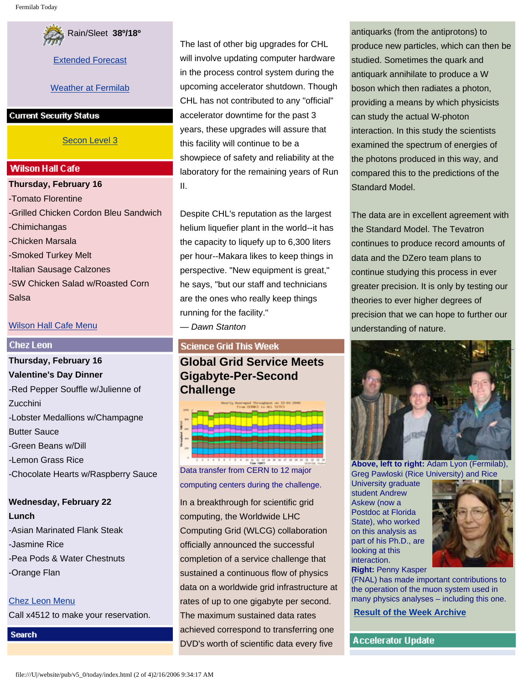

[Extended Forecast](http://www.srh.noaa.gov/data/forecasts/ILZ012.php?warncounty=ILC089&city=Batavia)

## [Weather at Fermilab](http://www-esh.fnal.gov/pls/default/weather.html)

#### **Current Security Status**

## [Secon Level 3](http://www.fnal.gov/pub/about/public_affairs/currentstatus.html)

### **Wilson Hall Cafe**

**Thursday, February 16** -Tomato Florentine -Grilled Chicken Cordon Bleu Sandwich -Chimichangas -Chicken Marsala -Smoked Turkey Melt -Italian Sausage Calzones -SW Chicken Salad w/Roasted Corn Salsa

## [Wilson Hall Cafe Menu](http://lss.fnal.gov/cafe/)

#### **Chez Leon**

**Thursday, February 16 Valentine's Day Dinner** -Red Pepper Souffle w/Julienne of Zucchini -Lobster Medallions w/Champagne Butter Sauce -Green Beans w/Dill -Lemon Grass Rice -Chocolate Hearts w/Raspberry Sauce

# **Wednesday, February 22 Lunch** -Asian Marinated Flank Steak -Jasmine Rice -Pea Pods & Water Chestnuts -Orange Flan

[Chez Leon Menu](http://lss.fnal.gov/chezleon/index.html) Call x4512 to make your reservation.

**Search** 

The last of other big upgrades for CHL will involve updating computer hardware in the process control system during the upcoming accelerator shutdown. Though CHL has not contributed to any "official" accelerator downtime for the past 3 years, these upgrades will assure that this facility will continue to be a showpiece of safety and reliability at the laboratory for the remaining years of Run II.

Despite CHL's reputation as the largest helium liquefier plant in the world--it has the capacity to liquefy up to 6,300 liters per hour--Makara likes to keep things in perspective. "New equipment is great," he says, "but our staff and technicians are the ones who really keep things running for the facility." — *Dawn Stanton*

## **Science Grid This Week**

**Global Grid Service Meets Gigabyte-Per-Second Challenge** 



Data transfer from CERN to 12 major computing centers during the challenge.

In a breakthrough for scientific grid computing, the Worldwide LHC Computing Grid (WLCG) collaboration officially announced the successful completion of a service challenge that sustained a continuous flow of physics data on a worldwide grid infrastructure at rates of up to one gigabyte per second. The maximum sustained data rates achieved correspond to transferring one DVD's worth of scientific data every five

antiquarks (from the antiprotons) to produce new particles, which can then be studied. Sometimes the quark and antiquark annihilate to produce a W boson which then radiates a photon, providing a means by which physicists can study the actual W-photon interaction. In this study the scientists examined the spectrum of energies of the photons produced in this way, and compared this to the predictions of the Standard Model.

The data are in excellent agreement with the Standard Model. The Tevatron continues to produce record amounts of data and the DZero team plans to continue studying this process in ever greater precision. It is only by testing our theories to ever higher degrees of precision that we can hope to further our understanding of nature.



**Above, left to right:** Adam Lyon (Fermilab), Greg Pawloski (Rice University) and Rice

University graduate student Andrew Askew (now a Postdoc at Florida State), who worked on this analysis as part of his Ph.D., are looking at this interaction.



**Right:** Penny Kasper

(FNAL) has made important contributions to the operation of the muon system used in many physics analyses – including this one.

**[Result of the Week Archive](http://www.fnal.gov/pub/today/resultoftheweek/index.html)**

**Accelerator Update**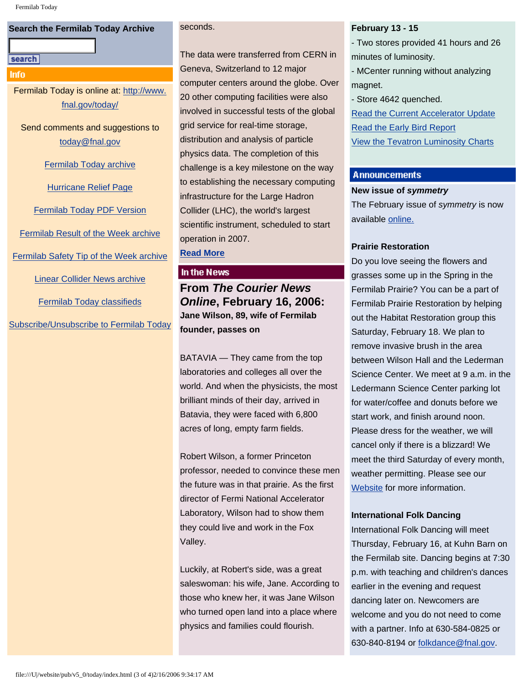## **Search the Fermilab Today Archive**

#### search

#### Info

Fermilab Today is online at: [http://www.](http://www.fnal.gov/today/) [fnal.gov/today/](http://www.fnal.gov/today/)

Send comments and suggestions to [today@fnal.gov](mailto:today@fnal.gov)

[Fermilab Today archive](http://www.fnal.gov/pub/today/archive.html)

[Hurricane Relief Page](http://www.fnal.gov/pub/today/katrina_relief.html)

[Fermilab Today PDF Version](http://www.fnal.gov/pub/today/archive.html)

[Fermilab Result of the Week archive](http://www.fnal.gov/pub/today/resultoftheweek/index.html)

[Fermilab Safety Tip of the Week archive](http://www.fnal.gov/pub/today/safety/index.html)

[Linear Collider News archive](http://www.fnal.gov/pub/today/linearcollider/index.html)

[Fermilab Today classifieds](http://www.fnal.gov/pub/today/classifieds.html)

[Subscribe/Unsubscribe to Fermilab Today](http://www.fnal.gov/pub/today/subscription.html)

#### seconds.

The data were transferred from CERN in Geneva, Switzerland to 12 major computer centers around the globe. Over 20 other computing facilities were also involved in successful tests of the global grid service for real-time storage, distribution and analysis of particle physics data. The completion of this challenge is a key milestone on the way to establishing the necessary computing infrastructure for the Large Hadron Collider (LHC), the world's largest scientific instrument, scheduled to start operation in 2007.

**[Read More](http://www.interactions.org/sgtw/)**

## In the News

**From** *The Courier News Online***, February 16, 2006: Jane Wilson, 89, wife of Fermilab founder, passes on** 

BATAVIA — They came from the top laboratories and colleges all over the world. And when the physicists, the most brilliant minds of their day, arrived in Batavia, they were faced with 6,800 acres of long, empty farm fields.

Robert Wilson, a former Princeton professor, needed to convince these men the future was in that prairie. As the first director of Fermi National Accelerator Laboratory, Wilson had to show them they could live and work in the Fox Valley.

Luckily, at Robert's side, was a great saleswoman: his wife, Jane. According to those who knew her, it was Jane Wilson who turned open land into a place where physics and families could flourish.

#### **February 13 - 15**

- Two stores provided 41 hours and 26 minutes of luminosity.

- MCenter running without analyzing magnet.

- Store 4642 quenched.

[Read the Current Accelerator Update](http://www.fnal.gov/pub/news06/update.html) [Read the Early Bird Report](http://www-bd.fnal.gov/earlybird/ebird.html) [View the Tevatron Luminosity Charts](http://www.fnal.gov/pub/now/tevlum.html)

#### **Announcements**

#### **New issue of** *symmetry*

The February issue of *symmetry* is now available [online.](http://www.symmetrymag.org/)

## **Prairie Restoration**

Do you love seeing the flowers and grasses some up in the Spring in the Fermilab Prairie? You can be a part of Fermilab Prairie Restoration by helping out the Habitat Restoration group this Saturday, February 18. We plan to remove invasive brush in the area between Wilson Hall and the Lederman Science Center. We meet at 9 a.m. in the Ledermann Science Center parking lot for water/coffee and donuts before we start work, and finish around noon. Please dress for the weather, we will cancel only if there is a blizzard! We meet the third Saturday of every month, weather permitting. Please see our [Website](http://www.fnal.gov/pub/about/campus/ecology/prairie/habitat_restoration.html) for more information.

#### **International Folk Dancing**

International Folk Dancing will meet Thursday, February 16, at Kuhn Barn on the Fermilab site. Dancing begins at 7:30 p.m. with teaching and children's dances earlier in the evening and request dancing later on. Newcomers are welcome and you do not need to come with a partner. Info at 630-584-0825 or 630-840-8194 or [folkdance@fnal.gov](mailto:folkdance@fnal.gov).